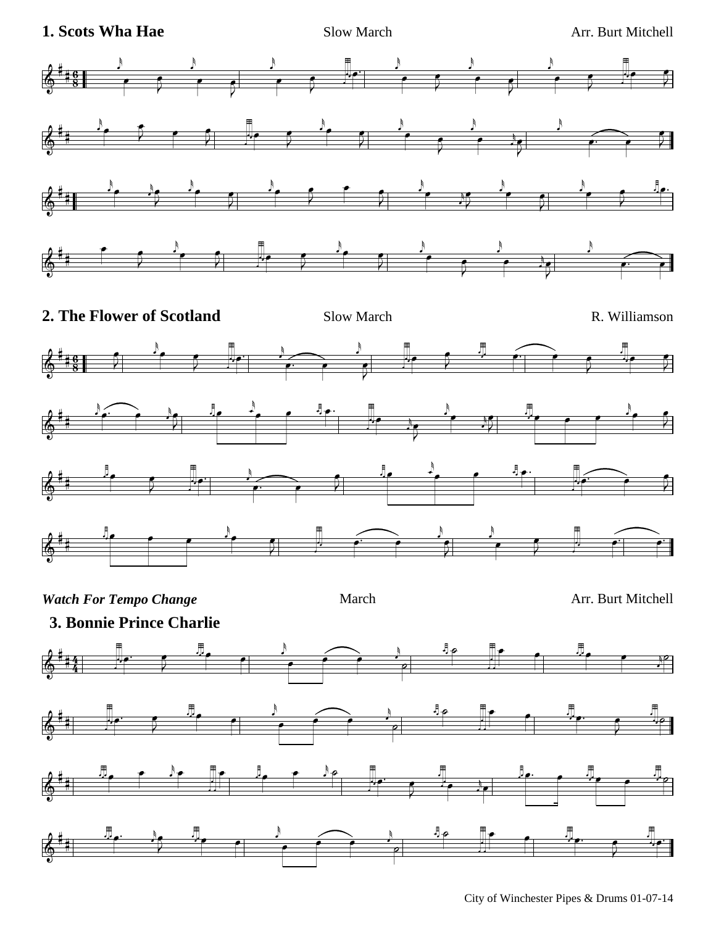